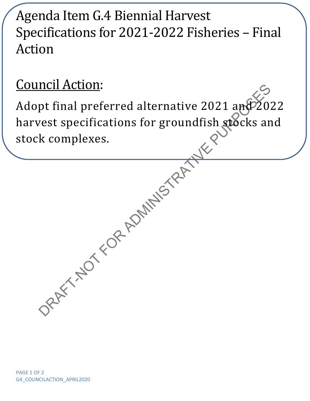## Agenda Item G.4 Biennial Harvest Specifications for 2021-2022 Fisheries – Final Action

## Council Action:

DRAFT-NOT REAL AND RAFT-NOT REAL AND RAFT-NOT REAL AND RAFT-NOT REAL AND RAFT-NOT REAL AND RAFT-NOT REAL AND RAFT-NOT REAL AND RAFT-NOT REAL AND RAFT-NOT REAL AND RAFT-NOT REAL AND RAFT-NOT REAL AND RAFT-NOT REAL AND RAFT-Adopt final preferred alternative 2021 and 2022 harvest specifications for groundfish stocks and stock complexes.